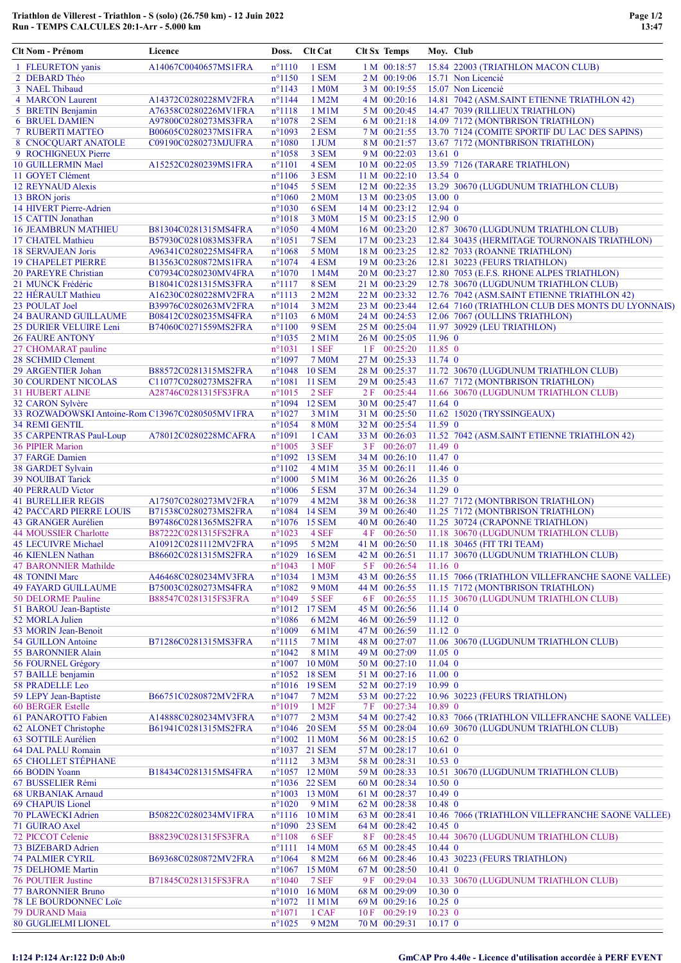## Triathlon de Villerest - Triathlon - S (solo) (26.750 km) - 12 Juin 2022 Run - TEMPS CALCULES 20:1-Arr - 5.000 km

| Clt Nom - Prénom                                | Licence                                      | Doss.                              | <b>Clt Cat</b>        | <b>Clt Sx Temps</b>            | Moy. Club                      |                                                                                    |
|-------------------------------------------------|----------------------------------------------|------------------------------------|-----------------------|--------------------------------|--------------------------------|------------------------------------------------------------------------------------|
| 1 FLEURETON yanis                               | A14067C0040657MS1FRA                         | $n^{\circ}1110$                    | 1 ESM                 | 1 M 00:18:57                   |                                | 15.84 22003 (TRIATHLON MACON CLUB)                                                 |
| 2 DEBARD Théo                                   |                                              | $n^{\circ}1150$                    | 1 SEM                 | 2 M 00:19:06                   |                                | 15.71 Non Licencié                                                                 |
| 3 NAEL Thibaud                                  |                                              | $n^{\circ}1143$                    | 1 M <sub>0</sub> M    | 3 M 00:19:55                   |                                | 15.07 Non Licencié                                                                 |
| 4 MARCON Laurent                                | A14372C0280228MV2FRA                         | $n^{\circ}$ 1144                   | 1 M2M                 | 4 M 00:20:16                   |                                | 14.81 7042 (ASM.SAINT ETIENNE TRIATHLON 42)                                        |
| 5 BRETIN Benjamin                               | A76358C0280226MV1FRA<br>A97800C0280273MS3FRA | $n^{\circ}1118$                    | 1 M1M<br>2 SEM        | 5 M 00:20:45<br>6 M 00:21:18   |                                | 14.47 7039 (RILLIEUX TRIATHLON)                                                    |
| <b>6 BRUEL DAMIEN</b><br>7 RUBERTI MATTEO       | B00605C0280237MS1FRA                         | $n^{\circ}1078$<br>$n^{\circ}1093$ | 2 ESM                 | 7 M 00:21:55                   |                                | 14.09 7172 (MONTBRISON TRIATHLON)<br>13.70 7124 (COMITE SPORTIF DU LAC DES SAPINS) |
| 8 CNOCQUART ANATOLE                             | C09190C0280273MJUFRA                         | $n^{\circ}1080$                    | 1 JUM                 | 8 M 00:21:57                   |                                | 13.67 7172 (MONTBRISON TRIATHLON)                                                  |
| 9 ROCHIGNEUX Pierre                             |                                              | $n^{\circ}1058$                    | 3 SEM                 | 9 M 00:22:03                   | $13.61 \text{ } 0$             |                                                                                    |
| 10 GUILLERMIN Mael                              | A15252C0280239MS1FRA                         | $n^{\circ}1101$                    | 4 SEM                 | 10 M 00:22:05                  |                                | 13.59 7126 (TARARE TRIATHLON)                                                      |
| 11 GOYET Clément                                |                                              | $n^{\circ}1106$                    | 3 ESM                 | 11 M 00:22:10                  | 13.54 0                        |                                                                                    |
| 12 REYNAUD Alexis                               |                                              | $n^{\circ}1045$                    | 5 SEM                 | 12 M 00:22:35                  |                                | 13.29 30670 (LUGDUNUM TRIATHLON CLUB)                                              |
| 13 BRON joris                                   |                                              | $n^{\circ}1060$                    | 2 M <sub>0</sub> M    | 13 M 00:23:05                  | 13.00 0                        |                                                                                    |
| 14 HIVERT Pierre-Adrien                         |                                              | $n^{\circ}1030$                    | 6 SEM                 | 14 M 00:23:12                  | $12.94$ 0                      |                                                                                    |
| 15 CATTIN Jonathan                              | B81304C0281315MS4FRA                         | $n^{\circ}1018$<br>$n^{\circ}1050$ | 3 M0M<br><b>4 M0M</b> | 15 M 00:23:15<br>16 M 00:23:20 | $12.90 \text{ } 0$             | 12.87 30670 (LUGDUNUM TRIATHLON CLUB)                                              |
| <b>16 JEAMBRUN MATHIEU</b><br>17 CHATEL Mathieu | B57930C0281083MS3FRA                         | $n^{\circ}1051$                    | 7 SEM                 | 17 M 00:23:23                  |                                | 12.84 30435 (HERMITAGE TOURNONAIS TRIATHLON)                                       |
| 18 SERVAJEAN Joris                              | A96341C0280225MS4FRA                         | $n^{\circ}1068$                    | 5 M0M                 | 18 M 00:23:25                  |                                | 12.82 7033 (ROANNE TRIATHLON)                                                      |
| <b>19 CHAPELET PIERRE</b>                       | B13563C0280872MS1FRA                         | $n^{\circ}1074$                    | 4 ESM                 | 19 M 00:23:26                  |                                | 12.81 30223 (FEURS TRIATHLON)                                                      |
| 20 PAREYRE Christian                            | C07934C0280230MV4FRA                         | $n^{\circ}1070$                    | 1 M4M                 | 20 M 00:23:27                  |                                | 12.80 7053 (E.F.S. RHONE ALPES TRIATHLON)                                          |
| 21 MUNCK Frédéric                               | B18041C0281315MS3FRA                         | $n^{\circ}1117$                    | 8 SEM                 | 21 M 00:23:29                  |                                | 12.78 30670 (LUGDUNUM TRIATHLON CLUB)                                              |
| 22 HÉRAULT Mathieu                              | A16230C0280228MV2FRA                         | $n^{\circ}1113$                    | 2 M2M                 | 22 M 00:23:32                  |                                | 12.76 7042 (ASM.SAINT ETIENNE TRIATHLON 42)                                        |
| 23 POULAT Joel                                  | B39976C0280263MV2FRA                         | $n^{\circ}1014$                    | 3 M2M                 | 23 M 00:23:44                  |                                | 12.64 7160 (TRIATHLON CLUB DES MONTS DU LYONNAIS)                                  |
| <b>24 BAURAND GUILLAUME</b>                     | B08412C0280235MS4FRA                         | $n^{\circ}1103$                    | 6 M0M                 | 24 M 00:24:53                  |                                | 12.06 7067 (OULLINS TRIATHLON)                                                     |
| 25 DURIER VELUIRE Leni                          | B74060C0271559MS2FRA                         | $n^{\circ}1100$                    | 9 SEM                 | 25 M 00:25:04                  |                                | 11.97 30929 (LEU TRIATHLON)                                                        |
| <b>26 FAURE ANTONY</b>                          |                                              | $n^{\circ}1035$                    | $2$ M $1$ M           | 26 M 00:25:05                  | $11.96 \text{ } 0$             |                                                                                    |
| 27 CHOMARAT pauline                             |                                              | $n^{\circ}1031$<br>$n^{\circ}1097$ | 1 SEF<br><b>7 M0M</b> | 1 F 00:25:20<br>27 M 00:25:33  | $11.85$ 0<br>$11.74$ 0         |                                                                                    |
| 28 SCHMID Clement<br>29 ARGENTIER Johan         | B88572C0281315MS2FRA                         | n°1048 10 SEM                      |                       | 28 M 00:25:37                  |                                | 11.72 30670 (LUGDUNUM TRIATHLON CLUB)                                              |
| <b>30 COURDENT NICOLAS</b>                      | C11077C0280273MS2FRA                         | $n^{\circ}1081$ 11 SEM             |                       | 29 M 00:25:43                  |                                | 11.67 7172 (MONTBRISON TRIATHLON)                                                  |
| <b>31 HUBERT ALINE</b>                          | A28746C0281315FS3FRA                         | $n^{\circ}1015$                    | 2 SEF                 | 2 F 00:25:44                   |                                | 11.66 30670 (LUGDUNUM TRIATHLON CLUB)                                              |
| 32 CARON Sylvère                                |                                              | n°1094 12 SEM                      |                       | 30 M 00:25:47                  | $11.64$ 0                      |                                                                                    |
| 33 ROZWADOWSKI Antoine-Rom C13967C0280505MV1FRA |                                              | $n^{\circ}1027$                    | 3 M1M                 | 31 M 00:25:50                  |                                | 11.62 15020 (TRYSSINGEAUX)                                                         |
| <b>34 REMI GENTIL</b>                           |                                              | $n^{\circ}1054$                    | 8 M <sub>0</sub> M    | 32 M 00:25:54                  | $11.59$ 0                      |                                                                                    |
| 35 CARPENTRAS Paul-Loup                         | A78012C0280228MCAFRA                         | $n^{\circ}1091$                    | 1 CAM                 | 33 M 00:26:03                  |                                | 11.52 7042 (ASM.SAINT ETIENNE TRIATHLON 42)                                        |
| <b>36 PIPIER Marion</b>                         |                                              | $n^{\circ}1005$                    | 3 SEF                 | 3 F 00:26:07                   | $11.49$ 0                      |                                                                                    |
| 37 FARGE Damien                                 |                                              | n°1092 13 SEM                      |                       | 34 M 00:26:10                  | $11.47 \text{ } 0$             |                                                                                    |
| 38 GARDET Sylvain                               |                                              | $n^{\circ}1102$                    | $4$ M $1$ M           | 35 M 00:26:11                  | $11.46 \text{ } 0$             |                                                                                    |
| <b>39 NOUIBAT Tarick</b><br>40 PERRAUD Victor   |                                              | $n^{\circ}1000$<br>$n^{\circ}1006$ | 5 M1M<br>5 ESM        | 36 M 00:26:26<br>37 M 00:26:34 | $11.35 \text{ o}$<br>$11.29$ 0 |                                                                                    |
| <b>41 BURELLIER REGIS</b>                       | A17507C0280273MV2FRA                         | $n^{\circ}1079$                    | 4 M2M                 | 38 M 00:26:38                  |                                | 11.27 7172 (MONTBRISON TRIATHLON)                                                  |
| <b>42 PACCARD PIERRE LOUIS</b>                  | B71538C0280273MS2FRA                         | $n^{\circ}1084$ 14 SEM             |                       | 39 M 00:26:40                  |                                | 11.25 7172 (MONTBRISON TRIATHLON)                                                  |
| 43 GRANGER Aurélien                             | B97486C0281365MS2FRA                         | n°1076 15 SEM                      |                       | 40 M 00:26:40                  |                                | 11.25 30724 (CRAPONNE TRIATHLON)                                                   |
| 44 MOUSSIER Charlotte                           | B87222C0281315FS2FRA                         | $n^{\circ}1023$                    | 4 SEF                 | 4 F 00:26:50                   |                                | 11.18 30670 (LUGDUNUM TRIATHLON CLUB)                                              |
| 45 LECUIVRE Michael                             | A10912C0281112MV2FRA                         | $n^{\circ}1095$                    | 5 M2M                 | 41 M 00:26:50                  |                                | 11.18 30465 (FIT TRI TEAM)                                                         |
| <b>46 KIENLEN Nathan</b>                        | B86602C0281315MS2FRA                         | n°1029 16 SEM                      |                       | 42 M 00:26:51                  |                                | 11.17 30670 (LUGDUNUM TRIATHLON CLUB)                                              |
| <b>47 BARONNIER Mathilde</b>                    |                                              | $n^{\circ}1043$                    | 1 M <sub>OF</sub>     | 5 F 00:26:54                   | $11.16$ 0                      |                                                                                    |
| <b>48 TONINI Marc</b>                           | A46468C0280234MV3FRA                         | $n^{\circ}1034$                    | 1 M3M                 | 43 M 00:26:55                  |                                | 11.15 7066 (TRIATHLON VILLEFRANCHE SAONE VALLEE)                                   |
| <b>49 FAYARD GUILLAUME</b>                      | B75003C0280273MS4FRA                         | $n^{\circ}1082$                    | 9 M <sub>0</sub> M    | 44 M 00:26:55                  |                                | 11.15 7172 (MONTBRISON TRIATHLON)                                                  |
| 50 DELORME Pauline<br>51 BAROU Jean-Baptiste    | B88547C0281315FS3FRA                         | $n^{\circ}1049$<br>n°1012 17 SEM   | 5 SEF                 | 6 F 00:26:55<br>45 M 00:26:56  | $11.14 \text{ } 0$             | 11.15 30670 (LUGDUNUM TRIATHLON CLUB)                                              |
| 52 MORLA Julien                                 |                                              | $n^{\circ}1086$                    | 6 M2M                 | 46 M 00:26:59                  | $11.12 \text{ } 0$             |                                                                                    |
| 53 MORIN Jean-Benoit                            |                                              | $n^{\circ}1009$                    | 6 M1M                 | 47 M 00:26:59                  | $11.12 \text{ } 0$             |                                                                                    |
| 54 GUILLON Antoine                              | B71286C0281315MS3FRA                         | $n^{\circ}1115$                    | 7 M1M                 | 48 M 00:27:07                  |                                | 11.06 30670 (LUGDUNUM TRIATHLON CLUB)                                              |
| 55 BARONNIER Alain                              |                                              | $n^{\circ}1042$                    | 8 M1M                 | 49 M 00:27:09                  | $11.05 \text{ } 0$             |                                                                                    |
| 56 FOURNEL Grégory                              |                                              | n°1007 10 M0M                      |                       | 50 M 00:27:10                  | $11.04$ 0                      |                                                                                    |
| 57 BAILLE benjamin                              |                                              | n°1052 18 SEM                      |                       | 51 M 00:27:16                  | $11.00 \text{ } 0$             |                                                                                    |
| 58 PRADELLE Leo                                 |                                              | n°1016 19 SEM                      |                       | 52 M 00:27:19                  | 10.990                         |                                                                                    |
| 59 LEPY Jean-Baptiste                           | B66751C0280872MV2FRA                         | $n^{\circ}1047$                    | 7 M2M                 | 53 M 00:27:22                  |                                | 10.96 30223 (FEURS TRIATHLON)                                                      |
| 60 BERGER Estelle<br>61 PANAROTTO Fabien        |                                              | $n^{\circ}1019$                    | 1 M <sub>2</sub> F    | 7F 00:27:34<br>54 M 00:27:42   | 10.89 0                        | 10.83 7066 (TRIATHLON VILLEFRANCHE SAONE VALLEE)                                   |
| 62 ALONET Christophe                            | A14888C0280234MV3FRA<br>B61941C0281315MS2FRA | $n^{\circ}1077$<br>n°1046 20 SEM   | 2 M3M                 | 55 M 00:28:04                  |                                | 10.69 30670 (LUGDUNUM TRIATHLON CLUB)                                              |
| 63 SOTTILE Aurélien                             |                                              | $n^{\circ}1002$ 11 M0M             |                       | 56 M 00:28:15                  | $10.62 \; 0$                   |                                                                                    |
| 64 DAL PALU Romain                              |                                              | n°1037 21 SEM                      |                       | 57 M 00:28:17                  | $10.61$ 0                      |                                                                                    |
| <b>65 CHOLLET STÉPHANE</b>                      |                                              | $n^{\circ}1112$                    | 3 M3M                 | 58 M 00:28:31                  | $10.53 \text{ } 0$             |                                                                                    |
| 66 BODIN Yoann                                  | B18434C0281315MS4FRA                         | n°1057 12 M0M                      |                       | 59 M 00:28:33                  |                                | 10.51 30670 (LUGDUNUM TRIATHLON CLUB)                                              |
| 67 BUSSELIER Rémi                               |                                              | n°1036 22 SEM                      |                       | 60 M 00:28:34                  | $10.50 \text{ o}$              |                                                                                    |
| 68 URBANIAK Arnaud                              |                                              | n°1003 13 M0M                      |                       | 61 M 00:28:37                  | $10.49$ 0                      |                                                                                    |
| 69 CHAPUIS Lionel                               |                                              | $n^{\circ}1020$                    | 9 M1M                 | 62 M 00:28:38                  | $10.48$ 0                      |                                                                                    |
| 70 PLAWECKI Adrien                              | B50822C0280234MV1FRA                         | $n^{\circ}1116$ 10 M1M             |                       | 63 M 00:28:41                  |                                | 10.46 7066 (TRIATHLON VILLEFRANCHE SAONE VALLEE)                                   |
| 71 GUIRAO Axel                                  |                                              | n°1090 23 SEM                      |                       | 64 M 00:28:42                  | $10.45 \text{ } 0$             |                                                                                    |
| 72 PICCOT Celenie<br>73 BIZEBARD Adrien         | B88239C0281315FS3FRA                         | $n^{\circ}1108$<br>$n^{\circ}1111$ | 6 SEF<br>14 M0M       | 8 F 00:28:45<br>65 M 00:28:45  | $10.44 \; 0$                   | 10.44 30670 (LUGDUNUM TRIATHLON CLUB)                                              |
| <b>74 PALMIER CYRIL</b>                         | B69368C0280872MV2FRA                         | $n^{\circ}1064$                    | 8 M2M                 | 66 M 00:28:46                  |                                | 10.43 30223 (FEURS TRIATHLON)                                                      |
| 75 DELHOME Martin                               |                                              | n°1067 15 M0M                      |                       | 67 M 00:28:50                  | $10.41$ 0                      |                                                                                    |
| <b>76 POUTIER Justine</b>                       | B71845C0281315FS3FRA                         | $n^{\circ}1040$                    | 7 SEF                 | 9 F 00:29:04                   |                                | 10.33 30670 (LUGDUNUM TRIATHLON CLUB)                                              |
| <b>77 BARONNIER Bruno</b>                       |                                              | $n^{\circ}1010$ 16 M0M             |                       | 68 M 00:29:09                  | $10.30 \text{ o}$              |                                                                                    |
| <b>78 LE BOURDONNEC Loïc</b>                    |                                              | $n^{\circ}1072$ 11 M1M             |                       | 69 M 00:29:16                  | $10.25 \text{ } 0$             |                                                                                    |
| 79 DURAND Maia                                  |                                              | $n^{\circ}1071$                    | 1 CAF                 | 10F 00:29:19                   | $10.23 \text{ } 0$             |                                                                                    |
| <b>80 GUGLIELMI LIONEL</b>                      |                                              | $n^{\circ}1025$                    | 9 M2M                 | 70 M 00:29:31                  | $10.17$ 0                      |                                                                                    |